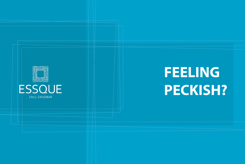

# **FEELING PECKISH?**